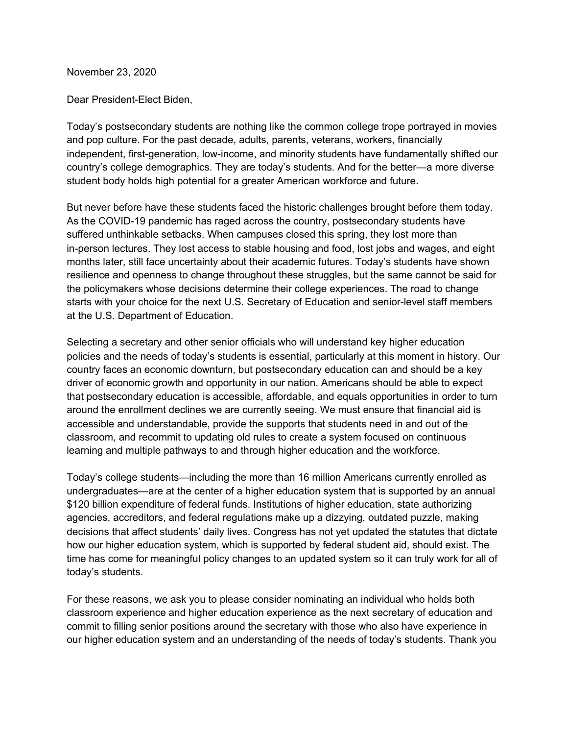November 23, 2020

Dear President-Elect Biden,

Today's postsecondary students are nothing like the common college trope portrayed in movies and pop culture. For the past decade, adults, parents, veterans, workers, financially independent, first-generation, low-income, and minority students have fundamentally shifted our country's college demographics. They are today's students. And for the better—a more diverse student body holds high potential for a greater American workforce and future.

But never before have these students faced the historic challenges brought before them today. As the COVID-19 pandemic has raged across the country, postsecondary students have suffered unthinkable setbacks. When campuses closed this spring, they lost more than in-person lectures. They lost access to stable housing and food, lost jobs and wages, and eight months later, still face uncertainty about their academic futures. Today's students have shown resilience and openness to change throughout these struggles, but the same cannot be said for the policymakers whose decisions determine their college experiences. The road to change starts with your choice for the next U.S. Secretary of Education and senior-level staff members at the U.S. Department of Education.

Selecting a secretary and other senior officials who will understand key higher education policies and the needs of today's students is essential, particularly at this moment in history. Our country faces an economic downturn, but postsecondary education can and should be a key driver of economic growth and opportunity in our nation. Americans should be able to expect that postsecondary education is accessible, affordable, and equals opportunities in order to turn around the enrollment declines we are currently seeing. We must ensure that financial aid is accessible and understandable, provide the supports that students need in and out of the classroom, and recommit to updating old rules to create a system focused on continuous learning and multiple pathways to and through higher education and the workforce.

Today's college students—including the more than 16 million Americans currently enrolled as undergraduates—are at the center of a higher education system that is supported by an annual \$120 billion expenditure of federal funds. Institutions of higher education, state authorizing agencies, accreditors, and federal regulations make up a dizzying, outdated puzzle, making decisions that affect students' daily lives. Congress has not yet updated the statutes that dictate how our higher education system, which is supported by federal student aid, should exist. The time has come for meaningful policy changes to an updated system so it can truly work for all of today's students.

For these reasons, we ask you to please consider nominating an individual who holds both classroom experience and higher education experience as the next secretary of education and commit to filling senior positions around the secretary with those who also have experience in our higher education system and an understanding of the needs of today's students. Thank you